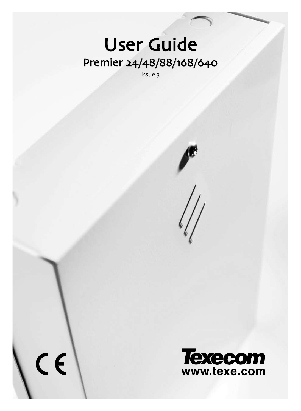# Premier 24/48/88/168/640 User Guide

Issue 3

 $\overline{c}$ 



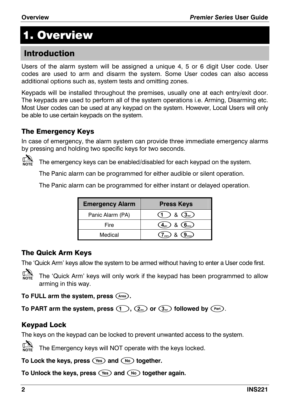# 1. Overview

# Introduction

Users of the alarm system will be assigned a unique 4, 5 or 6 digit User code. User codes are used to arm and disarm the system. Some User codes can also access additional options such as, system tests and omitting zones.

Keypads will be installed throughout the premises, usually one at each entry/exit door. The keypads are used to perform all of the system operations i.e. Arming, Disarming etc. Most User codes can be used at any keypad on the system. However, Local Users will only be able to use certain keypads on the system.

### The Emergency Keys

In case of emergency, the alarm system can provide three immediate emergency alarms by pressing and holding two specific keys for two seconds.



The emergency keys can be enabled/disabled for each keypad on the system.

The Panic alarm can be programmed for either audible or silent operation.

The Panic alarm can be programmed for either instant or delayed operation.

| <b>Emergency Alarm</b> | <b>Press Keys</b>                                             |
|------------------------|---------------------------------------------------------------|
| Panic Alarm (PA)       | $(1)$ & $(3)$                                                 |
| Fire                   | $\overline{(4_{\text{phi}})}$ & $\overline{(6_{\text{rho}})}$ |
| Medical                | $(7)$ <sub>pqrs</sub> $8$ $(9)$ <sub>wxy</sub>                |

### The Quick Arm Keys

The 'Quick Arm' keys allow the system to be armed without having to enter a User code first.



The 'Quick Arm' keys will only work if the keypad has been programmed to allow arming in this way.

**To FULL arm the system, press** '**.**

To PART arm the system, press  $($   $)$ ,  $($   $)$ ,  $($   $)$  or  $($   $)$ ,  $($   $)$  followed by  $($   $)$ .

# Keypad Lock

The keys on the keypad can be locked to prevent unwanted access to the system.



To Lock the keys, press (Yes) and (No) together.

To Unlock the keys, press (Yes) and (No) together again.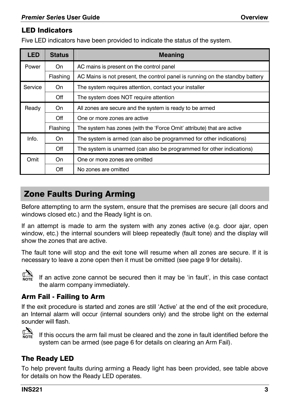#### LED Indicators

Five LED indicators have been provided to indicate the status of the system.

| <b>LED</b> | <b>Status</b> | <b>Meaning</b>                                                               |  |  |
|------------|---------------|------------------------------------------------------------------------------|--|--|
| Power      | On            | AC mains is present on the control panel                                     |  |  |
|            | Flashing      | AC Mains is not present, the control panel is running on the standby battery |  |  |
| Service    | On.           | The system requires attention, contact your installer                        |  |  |
|            | Off           | The system does NOT require attention                                        |  |  |
| Ready      | On            | All zones are secure and the system is ready to be armed                     |  |  |
|            | Off           | One or more zones are active                                                 |  |  |
|            | Flashing      | The system has zones (with the 'Force Omit' attribute) that are active       |  |  |
| Info.      | On.           | The system is armed (can also be programmed for other indications)           |  |  |
|            | Off           | The system is unarmed (can also be programmed for other indications)         |  |  |
| Omit       | On.           | One or more zones are omitted                                                |  |  |
|            | Off           | No zones are omitted                                                         |  |  |

# Zone Faults During Arming

Before attempting to arm the system, ensure that the premises [ar](#page-5-0)e secure (all doors and windows closed etc.) and the Ready light is on.

If an attempt is made to arm the system with any zones active (e.g. door ajar, open window, etc.) the internal sounders will bleep repeatedly (fault tone) and the display will show the zones that are active.

The fault tone will stop and the exit tone will resume when all zones are secure. If it is necessary to leave a zone open then it must be omitted (see page 9 for details).



If an active zone cannot be secured then it may be 'in fault', in this case contact the alarm company immediately.

### Arm Fail - Failing to Arm

If the exit procedure is started and zones are still 'Active' at the end of the exit procedure, an Internal alarm will occur (internal sounders only) and the strobe light on the external sounder will flash.



IN If this occurs the arm fail must be cleared and the zone in fault identified before the system can be armed (see page 6 for details on clearing an Arm Fail).

# The Ready LED

To help prevent faults during arming a Ready light has been provided, see table above for details on how the Ready LED operates.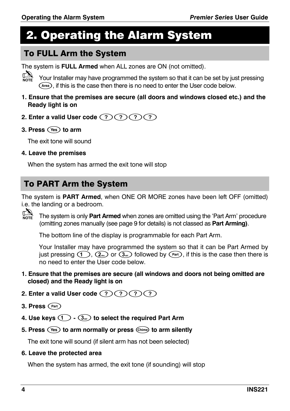# 2. Operating the Alarm System

# To FULL Arm the System

The system is **FULL Armed** when ALL zones are ON (not omitted).



! Your Installer may have programmed the system so that it can be set by just pressing  $(F<sub>area</sub>)$ , if this is the case then there is no need to enter the Us[er c](#page-8-0)ode below.

- **1. Ensure that the premises are secure (all doors and windows closed etc.) and the Ready light is on**
- **2. Enter a valid User code**  $(?)$   $(?)$   $(?)$
- **3. Press**  $\sqrt{Y}$  to arm

The exit tone will sound

**4. Leave the premises**

When the system has armed the exit tone will stop

# To PART Arm the System

The system is **PART Armed**, when ONE OR MORE zones have been left OFF (omitted) i.e. the landing or a bedroom.



The system is only **Part Armed** when zones are omitted using the 'Part Arm' procedure (omitting zones manually (see page 9 for details) is not classed as **Part Arming)**.

The bottom line of the display is programmable for each Part Arm.

Your Installer may have programmed the system so that it can be Part Armed by just pressing  $(1)$ ,  $(2)$ ,  $(3)$  or  $(3)$  followed by  $(3)$ , if this is the case then there is no need to enter the User code below.

**1. Ensure that the premises are secure (all windows and doors not being omitted are closed) and the Ready light is on** 

### **2. Enter a valid User code** (?)(?)(?)(?)

- **3. Press** (Part)
- **4. Use keys**!**-**"**to select the required Part Arm**
- **5. Press**  $\left(\text{Yes}\right)$  to arm normally or press  $\left(\text{Chime}\right)$  to arm silently

The exit tone will sound (if silent arm has not been selected)

**6. Leave the protected area**

When the system has armed, the exit tone (if sounding) will stop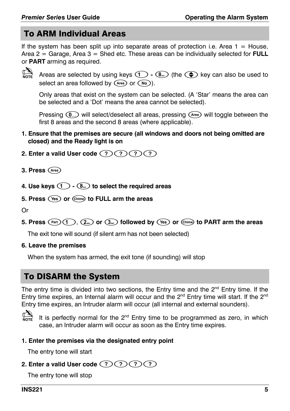# To ARM Individual Areas

If the system has been split up into separate areas of protection i.e. Area  $1 =$  House, Area 2 = Garage, Area 3 = Shed etc. These areas can be individually selected for **FULL** or **PART** arming as required.



Areas are selected by using keys  $\circled{1} \cdot \circled{8}_{\cdots}$  (the  $\circled{1}$  key can also be used to select an area followed by  $(\widehat{A_{\text{rea}}})$  or  $(\widehat{N_{\text{O}}})$ .

Only areas that exist on the system can be selected. (A 'Star' means the area can be selected and a 'Dot' means the area cannot be selected).

Pressing  $\left(\begin{smallmatrix}0\end{smallmatrix}\right)$  will select/deselect all areas, pressing  $\left(\begin{smallmatrix}A\text{red}\end{smallmatrix}\right)$  will toggle between the first 8 areas and the second 8 areas (where applicable).

- **1. Ensure that the premises are secure (all windows and doors not being omitted are closed) and the Ready light is on**
- 2. Enter a valid User code  $(?)(?)(?)(?)$
- **3. Press**'
- **4. Use keys**!**-**.**to select the required areas**
- **5. Press**  $\left(\sqrt{Yes}\right)$  or  $\left(\frac{Chime}{The}\right)$  to FULL arm the areas

Or

**5. Press**  $(\text{Part})$  (1),  $(2\pi)$  or  $(3\pi)$  followed by  $(\text{Test})$  or  $(\text{Sim})$  to PART arm the areas

The exit tone will sound (if silent arm has not been selected)

#### **6. Leave the premises**

When the system has armed, the exit tone (if sounding) will stop

# To DISARM the System

The entry time is divided into two sections, the Entry time and the  $2<sup>nd</sup>$  Entry time. If the Entry time expires, an Internal alarm will occur and the  $2<sup>nd</sup>$  Entry time will start. If the  $2<sup>nd</sup>$ Entry time expires, an Intruder alarm will occur (all internal and external sounders).



NOTE It is perfectly normal for the 2<sup>nd</sup> Entry time to be programmed as zero, in which case, an Intruder alarm will occur as soon as the Entry time expires.

#### **1. Enter the premises via the designated entry point**

The entry tone will start

#### 2. Enter a valid User code (?) (?) (?)

The entry tone will stop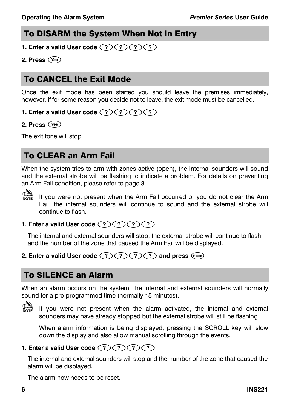# <span id="page-5-0"></span>To DISARM the System When Not in Entry

- **1. Enter a valid User code**  $(?)$   $(?)$   $(?)$
- **2. Press**\*

# To CANCEL the Exit Mode

Once the exit mode has been started you should leave the premises immediately, however, if for some reason you decide not to leave, the exit mode must be cancelled.

#### **1. Enter a valid User code**  $(?)$   $(?)$   $(?)$

**2. Press**  $Yes$ 

<span id="page-5-1"></span>The exit tone will stop.

# To CLEAR an Arm Fail

When the system tries to arm with zones active (open), the internal sounders will sound and the external strobe will be flashing to indicate a problem. For details on preventing an Arm Fail condition, please refer to page 3.



If you were not present when the Arm Fail occurred or you do not clear the Arm Fail, the internal sounders will continue to sound and the external strobe will continue to flash.

**1. Enter a valid User code** (?) (?) (?) (?)

The internal and external sounders will stop, the external strobe will continue to flash and the number of the zone that caused the Arm Fail will be displayed.

### **2. Enter a valid User code (?) (?) (?) and press** (Reset)

# To SILENCE an Alarm

When an alarm occurs on the system, the internal and external sounders will normally sound for a pre-programmed time (normally 15 minutes).



If you were not present when the alarm activated, the internal and external sounders may have already stopped but the external strobe will still be flashing.

When alarm information is being displayed, pressing the SCROLL key will slow down the display and also allow manual scrolling through the events.

### **1. Enter a valid User code** (?)(?)(?)(?)

The internal and external sounders will stop and the number of the zone that caused the alarm will be displayed.

The alarm now needs to be reset.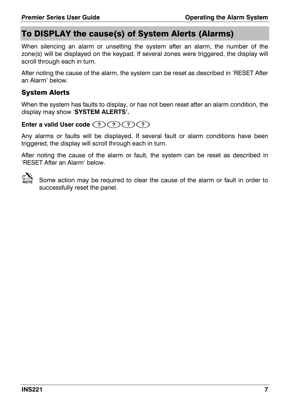# To DISPLAY the cause(s) of System Alerts (Alarms)

When silencing an alarm or unsetting the system after an alarm, the number of the zone(s) will be displayed on the keypad. If several zones were triggered, the display will scroll through each in turn.

After noting the cause of the alarm, the system can be reset as described in 'RESET After an Alarm' below.

## System Alerts

When the system has faults to display, or has not been reset after an alarm condition, the display may show 'SYSTEM ALERTS'.

### Enter a valid User code (?)(?)(?)(?)

Any alarms or faults will be displayed. If several fault or alarm conditions have been triggered, the display will scroll through each in turn.

After noting the cause of the alarm or fault, the system can be reset as described in 'RESET After an Alarm' below.



Some action may be required to clear the cause of the alarm or fault in order to successfully reset the panel.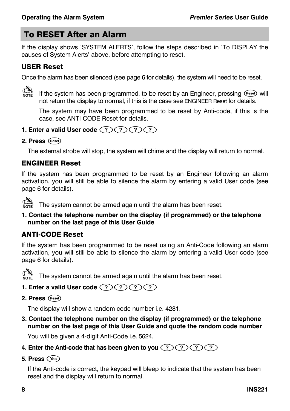# To RESET After an Alarm

If the display shows 'SYSTEM ALERTS', follow the steps described in 'To DISPLAY the causes of System Alerts' abo[ve,](#page-5-1) before attempting to reset.

#### USER Reset

Once the alarm has been silenced (see page 6 for details), the system will need to be reset.



If the system has been programmed, to be reset by an Engineer, pressing (Reset) will not return the display to normal, if this is the case see ENGINEER Reset for details.

The system may have been programmed to be reset by Anti-code, if this is the case, see ANTI-CODE Reset for details.

- **1. Enter a valid User code** (?)(?)(?)(?)
- 2. Press (Reset)

The external strobe will stop, the system will chime and the display will return to normal.

## ENGINEER Reset

If the system has been programmed to be reset by an Engineer following an alarm activation, you will still be able to silence the alarm by entering a valid User code (see page 6 for details).

 $\sum_{\text{NOTE}}$  The system cannot be armed again until the alarm has been reset.

**1. Contact the telephone number on the display (if programmed) or the telephone number on the last page of this User Guide** 

# ANTI-CODE Reset

If the system has been programmed to be reset using an Anti-Code following an alarm activation, you will still be able to silence the alarm by entering a valid User code (see page 6 for details).



The system cannot be armed again until the alarm has been reset.

- **1. Enter a valid User code**  $(?)$   $(?)$   $(?)$
- 2. Press (Reset)

The display will show a random code number i.e. 4281.

**3. Contact the telephone number on the display (if programmed) or the telephone number on the last page of this User Guide and quote the random code number** 

You will be given a 4-digit Anti-Code i.e. 5624.

- **4. Enter the Anti-code that has been given to you**  $(?)(?)(?)(?)$
- **5. Press**  $\left(\sqrt{165}\right)$

If the Anti-code is correct, the keypad will bleep to indicate that the system has been reset and the display will return to normal.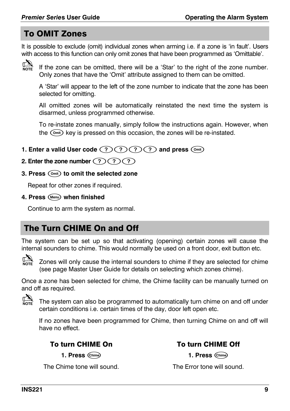# <span id="page-8-0"></span>To OMIT Zones

It is possible to exclude (omit) individual zones when arming i.e. if a zone is 'in fault'. Users with access to this function can only omit zones that have been programmed as 'Omittable'.



If it the zone can be omitted, there will be a 'Star' to the right of the zone number. Only zones that have the 'Omit' attribute assigned to them can be omitted.

A 'Star' will appear to the left of the zone number to indicate that the zone has been selected for omitting.

All omitted zones will be automatically reinstated the next time the system is disarmed, unless programmed otherwise.

To re-instate zones manually, simply follow the instructions again. However, when the  $(0<sub>mit</sub>)$  key is pressed on this occasion, the zones will be re-instated.

- **1. Enter a valid User code (?) (?) (?) and press** ( $\circ$ mit)
- **2. Enter the zone number**  $(?)$   $(?)$

#### **3. Press**  $(\widehat{0}_{\text{init}})$  **to omit the selected zone**

Repeat for other zones if required.

**4. Press** 4 **when finished**

Continue to arm the system as normal.

# The Turn CHIME On and Off

The system can be set up so that activating (opening) certain zones will cause the internal sounders to chime. This would normally be used on a front door, exit button etc.



Zones will only cause the internal sounders to chime if they are selected for chime (see page Master User Guide for details on selecting which zones chime).

Once a zone has been selected for chime, the Chime facility can be manually turned on and off as required.



 $\mathbb{C}\mathbb{R}$  The system can also be programmed to automatically turn chime on and off under certain conditions i.e. certain times of the day, door left open etc.

If no zones have been programmed for Chime, then turning Chime on and off will have no effect.

**1. Press** (Chime) **1. Press** (Chime)

The Chime tone will sound. The Error tone will sound.

### To turn CHIME On To turn CHIME Off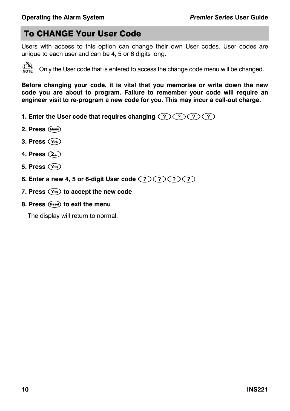# To CHANGE Your User Code

Users with access to this option can change their own User codes. User codes are unique to each user and can be 4, 5 or 6 digits long.



Only the User code that is entered to access the change code menu will be changed.

**Before changing your code, it is vital that you memorise or write down the new code you are about to program. Failure to remember your code will require an engineer visit to re-program a new code for you. This may incur a call-out charge.** 

- **1. Enter the User code that requires changing**  $(?)(?)(?)(?)$
- 2. Press (Menu)
- **3. Press**\*
- **4. Press**(
- **5. Press**\*
- **6. Enter a new 4, 5 or 6-digit User code** ,,,,
- **7. Press**  $\left(\sqrt{4} \cdot \text{s}\right)$  to accept the new code
- **8. Press** 1**to exit the menu**

The display will return to normal.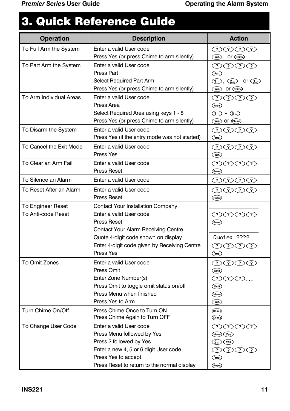# 3. Quick Reference Guide

| <b>Operation</b><br><b>Description</b> |                                                                                                                                                                                                                                                                   | <b>Action</b>                                                                                               |  |  |
|----------------------------------------|-------------------------------------------------------------------------------------------------------------------------------------------------------------------------------------------------------------------------------------------------------------------|-------------------------------------------------------------------------------------------------------------|--|--|
| To Full Arm the System                 | Enter a valid User code<br>Press Yes (or press Chime to arm silently)                                                                                                                                                                                             | のののの<br>(Yes) Or (Chime)                                                                                    |  |  |
| To Part Arm the System                 | Enter a valid User code<br>② ② ② ② ②<br>Press Part<br>$(\overline{Part})$<br>Select Required Part Arm<br>$\left(\bigcap_{n}$ , $\left(\overline{2}_{\text{abs}}\right)$ or $\left(\overline{3}_{\text{sub}}\right)$<br>Press Yes (or press Chime to arm silently) |                                                                                                             |  |  |
| To Arm Individual Areas                | Enter a valid User code<br>Press Area<br>Select Required Area using keys 1 - 8<br>Press Yes (or press Chime to arm silently)                                                                                                                                      | (Yes) Or (Chime)<br>⑦⑦⑦⑦<br>(Area)<br>$\textcircled{1}$ - $\textcircled{8}_{\text{uv}}$<br>(Yes) Or (Chime) |  |  |
| To Disarm the System                   | Enter a valid User code<br>Press Yes (if the entry mode was not started)                                                                                                                                                                                          | $\mathcal{O} \mathcal{O} \mathcal{O} \mathcal{O}$<br>(Yes)                                                  |  |  |
| To Cancel the Exit Mode                | Enter a valid User code<br>Press Yes                                                                                                                                                                                                                              | ⑦⑦⑦⑦<br>(Yes)                                                                                               |  |  |
| To Clear an Arm Fail                   | Enter a valid User code<br><b>Press Reset</b>                                                                                                                                                                                                                     | ⑦⑦⑦⑦<br>(Reset)                                                                                             |  |  |
| To Silence an Alarm                    | Enter a valid User code                                                                                                                                                                                                                                           | ⑦⑦⑦⑦                                                                                                        |  |  |
| To Reset After an Alarm                | Enter a valid User code<br><b>Press Reset</b>                                                                                                                                                                                                                     | ⑦⑦⑦⑦<br>(Reset)                                                                                             |  |  |
| To Engineer Reset                      | Contact Your Installation Company                                                                                                                                                                                                                                 |                                                                                                             |  |  |
| To Anti-code Reset                     | Enter a valid User code<br><b>Press Reset</b><br>Contact Your Alarm Receiving Centre<br>Quote 4-digit code shown on display<br>Enter 4-digit code given by Receiving Centre<br>Press Yes                                                                          | $\mathcal{O} \mathcal{O} \mathcal{O} \mathcal{O}$<br>(Reset)<br>Quote: ????<br>⑦⑦⑦⑦<br>(Yes)                |  |  |
| To Omit Zones                          | Enter a valid User code<br>Press Omit<br>Enter Zone Number(s)<br>Press Omit to toggle omit status on/off<br>Press Menu when finished<br>Press Yes to Arm                                                                                                          | ⑦⑦⑦⑦<br>(0)<br>⑦⑦⑦<br>(Omit)<br>(Menu)<br>$(\mathsf{Yes})$                                                  |  |  |
| Turn Chime On/Off                      | Press Chime Once to Turn ON<br>Press Chime Again to Turn OFF                                                                                                                                                                                                      | (Chime)<br>(Chime)                                                                                          |  |  |
| To Change User Code                    | Enter a valid User code<br>Press Menu followed by Yes<br>Press 2 followed by Yes<br>Enter a new 4, 5 or 6 digit User code<br>Press Yes to accept<br>Press Reset to return to the normal display                                                                   | ①⑦⑦⑦<br>(Menu) (Yes)<br>$(2)$ (Yes)<br>⑦⑦⑦⑦<br>$(\mathsf{Yes})$<br>(Reset)                                  |  |  |